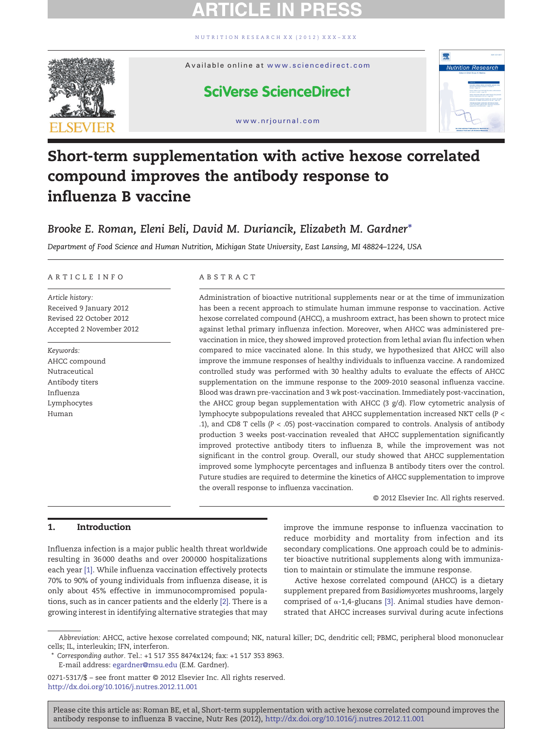[NUTRITION RESEARCH XX \(2012\) XXX](http://dx.doi.org/10.1016/j.nutres.2012.11.001) – XXX



#### Available online at [www.sciencedirect.com](http://www.sciencedirect.com/science/journal/02715317)

# **SciVerse ScienceDirect**

www.nrjournal.com



# Short-term supplementation with active hexose correlated compound improves the antibody response to influenza B vaccine

# Brooke E. Roman, Eleni Beli, David M. Duriancik, Elizabeth M. Gardner<sup>\*</sup>

Department of Food Science and Human Nutrition, Michigan State University, East Lansing, MI 48824–1224, USA

#### ARTICLE INFO ABSTRACT

Article history: Received 9 January 2012 Revised 22 October 2012 Accepted 2 November 2012

Keywords: AHCC compound Nutraceutical Antibody titers Influenza Lymphocytes Human

Administration of bioactive nutritional supplements near or at the time of immunization has been a recent approach to stimulate human immune response to vaccination. Active hexose correlated compound (AHCC), a mushroom extract, has been shown to protect mice against lethal primary influenza infection. Moreover, when AHCC was administered prevaccination in mice, they showed improved protection from lethal avian flu infection when compared to mice vaccinated alone. In this study, we hypothesized that AHCC will also improve the immune responses of healthy individuals to influenza vaccine. A randomized controlled study was performed with 30 healthy adults to evaluate the effects of AHCC supplementation on the immune response to the 2009-2010 seasonal influenza vaccine. Blood was drawn pre-vaccination and 3 wk post-vaccination. Immediately post-vaccination, the AHCC group began supplementation with AHCC  $(3 \text{ g/d})$ . Flow cytometric analysis of lymphocyte subpopulations revealed that AHCC supplementation increased NKT cells (P < .1), and CD8 T cells (P < .05) post-vaccination compared to controls. Analysis of antibody production 3 weeks post-vaccination revealed that AHCC supplementation significantly improved protective antibody titers to influenza B, while the improvement was not significant in the control group. Overall, our study showed that AHCC supplementation improved some lymphocyte percentages and influenza B antibody titers over the control. Future studies are required to determine the kinetics of AHCC supplementation to improve the overall response to influenza vaccination.

© 2012 Elsevier Inc. All rights reserved.

### 1. Introduction

Influenza infection is a major public health threat worldwide resulting in 36 000 deaths and over 200 000 hospitalizations each year [\[1\].](#page-5-0) While influenza vaccination effectively protects 70% to 90% of young individuals from influenza disease, it is only about 45% effective in immunocompromised populations, such as in cancer patients and the elderly [\[2\]](#page-5-0). There is a growing interest in identifying alternative strategies that may

improve the immune response to influenza vaccination to reduce morbidity and mortality from infection and its secondary complications. One approach could be to administer bioactive nutritional supplements along with immunization to maintain or stimulate the immune response.

Active hexose correlated compound (AHCC) is a dietary supplement prepared from Basidiomycetes mushrooms, largely comprised of α-1,4-glucans [\[3\]](#page-5-0). Animal studies have demonstrated that AHCC increases survival during acute infections

Abbreviation: AHCC, active hexose correlated compound; NK, natural killer; DC, dendritic cell; PBMC, peripheral blood mononuclear cells; IL, interleukin; IFN, interferon.

<sup>⁎</sup> Corresponding author. Tel.: +1 517 355 8474x124; fax: +1 517 353 8963.

E-mail address: [egardner@msu.edu](mailto:egardner@msu.edu) (E.M. Gardner).

<sup>0271-5317/\$</sup> – see front matter © 2012 Elsevier Inc. All rights reserved. <http://dx.doi.org/10.1016/j.nutres.2012.11.001>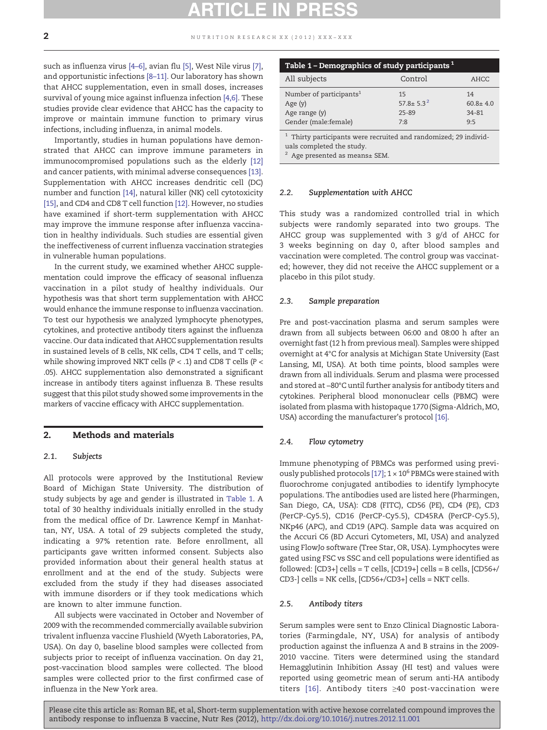<span id="page-1-0"></span>such as influenza virus [\[4](#page-5-0)–6], avian flu [\[5\],](#page-5-0) West Nile virus [\[7\],](#page-5-0) and opportunistic infections [8–[11\]](#page-5-0). Our laboratory has shown that AHCC supplementation, even in small doses, increases survival of young mice against influenza infection [\[4,6\]](#page-5-0). These studies provide clear evidence that AHCC has the capacity to improve or maintain immune function to primary virus infections, including influenza, in animal models.

Importantly, studies in human populations have demonstrated that AHCC can improve immune parameters in immunocompromised populations such as the elderly [\[12\]](#page-5-0) and cancer patients, with minimal adverse consequences [\[13\].](#page-5-0) Supplementation with AHCC increases dendritic cell (DC) number and function [\[14\]](#page-5-0), natural killer (NK) cell cytotoxicity [\[15\]](#page-5-0), and CD4 and CD8 T cell function [\[12\].](#page-5-0) However, no studies have examined if short-term supplementation with AHCC may improve the immune response after influenza vaccination in healthy individuals. Such studies are essential given the ineffectiveness of current influenza vaccination strategies in vulnerable human populations.

In the current study, we examined whether AHCC supplementation could improve the efficacy of seasonal influenza vaccination in a pilot study of healthy individuals. Our hypothesis was that short term supplementation with AHCC would enhance the immune response to influenza vaccination. To test our hypothesis we analyzed lymphocyte phenotypes, cytokines, and protective antibody titers against the influenza vaccine. Our data indicated that AHCC supplementation results in sustained levels of B cells, NK cells, CD4 T cells, and T cells; while showing improved NKT cells ( $P <$  .1) and CD8 T cells ( $P <$ .05). AHCC supplementation also demonstrated a significant increase in antibody titers against influenza B. These results suggest that this pilot study showed some improvements in the markers of vaccine efficacy with AHCC supplementation.

### 2. Methods and materials

#### 2.1. Subjects

All protocols were approved by the Institutional Review Board of Michigan State University. The distribution of study subjects by age and gender is illustrated in Table 1. A total of 30 healthy individuals initially enrolled in the study from the medical office of Dr. Lawrence Kempf in Manhattan, NY, USA. A total of 29 subjects completed the study, indicating a 97% retention rate. Before enrollment, all participants gave written informed consent. Subjects also provided information about their general health status at enrollment and at the end of the study. Subjects were excluded from the study if they had diseases associated with immune disorders or if they took medications which are known to alter immune function.

All subjects were vaccinated in October and November of 2009 with the recommended commercially available subvirion trivalent influenza vaccine Flushield (Wyeth Laboratories, PA, USA). On day 0, baseline blood samples were collected from subjects prior to receipt of influenza vaccination. On day 21, post-vaccination blood samples were collected. The blood samples were collected prior to the first confirmed case of influenza in the New York area.

| Table 1 – Demographics of study participants $1$                                          |                                        |                                    |  |  |
|-------------------------------------------------------------------------------------------|----------------------------------------|------------------------------------|--|--|
| All subjects                                                                              | Control                                | AHCC                               |  |  |
| Number of participants <sup>1</sup><br>Age $(y)$<br>Age range (y)<br>Gender (male:female) | 15<br>$57.8 \pm 5.3^2$<br>25-89<br>7:8 | 14<br>$60.8 + 4.0$<br>34-81<br>9.5 |  |  |

 $^{\rm 1}$  Thirty participants were recruited and randomized; 29 individuals completed the study.

Age presented as means± SEM.

#### 2.2. Supplementation with AHCC

This study was a randomized controlled trial in which subjects were randomly separated into two groups. The AHCC group was supplemented with 3 g/d of AHCC for 3 weeks beginning on day 0, after blood samples and vaccination were completed. The control group was vaccinated; however, they did not receive the AHCC supplement or a placebo in this pilot study.

#### 2.3. Sample preparation

Pre and post-vaccination plasma and serum samples were drawn from all subjects between 06:00 and 08:00 h after an overnight fast (12 h from previous meal). Samples were shipped overnight at 4°C for analysis at Michigan State University (East Lansing, MI, USA). At both time points, blood samples were drawn from all individuals. Serum and plasma were processed and stored at −80°C until further analysis for antibody titers and cytokines. Peripheral blood mononuclear cells (PBMC) were isolated from plasma with histopaque 1770 (Sigma-Aldrich, MO, USA) according the manufacturer's protocol [\[16\].](#page-5-0)

#### 2.4. Flow cytometry

Immune phenotyping of PBMCs was performed using previ-ously published protocols [\[17\];](#page-5-0)  $1 \times 10^6$  PBMCs were stained with fluorochrome conjugated antibodies to identify lymphocyte populations. The antibodies used are listed here (Pharmingen, San Diego, CA, USA): CD8 (FITC), CD56 (PE), CD4 (PE), CD3 (PerCP-Cy5.5), CD16 (PerCP-Cy5.5), CD45RA (PerCP-Cy5.5), NKp46 (APC), and CD19 (APC). Sample data was acquired on the Accuri C6 (BD Accuri Cytometers, MI, USA) and analyzed using FlowJo software (Tree Star, OR, USA). Lymphocytes were gated using FSC vs SSC and cell populations were identified as followed:  $[CD3+]$  cells = T cells,  $[CD19+]$  cells = B cells,  $[CD56+/$ CD3-] cells = NK cells, [CD56+/CD3+] cells = NKT cells.

#### 2.5. Antibody titers

Serum samples were sent to Enzo Clinical Diagnostic Laboratories (Farmingdale, NY, USA) for analysis of antibody production against the influenza A and B strains in the 2009- 2010 vaccine. Titers were determined using the standard Hemagglutinin Inhibition Assay (HI test) and values were reported using geometric mean of serum anti-HA antibody titers [\[16\].](#page-5-0) Antibody titers ≥40 post-vaccination were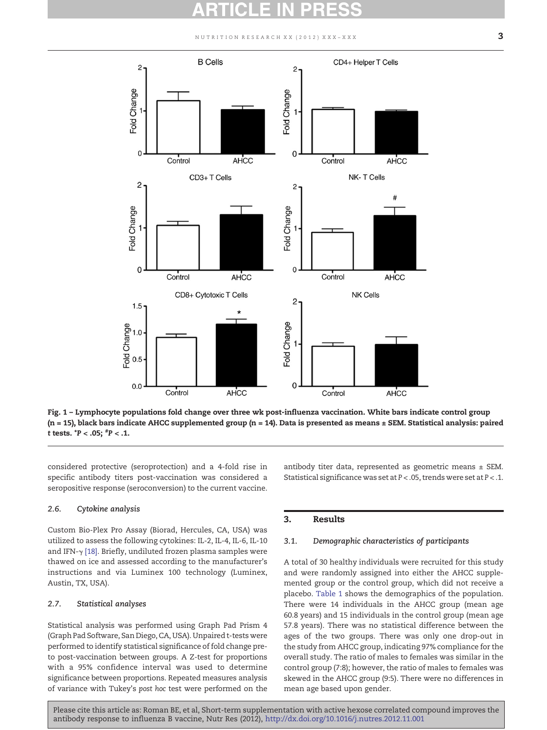NUTRITION RESEARCH XX (2012) XXX-XXX  $3$ 

<span id="page-2-0"></span>

Fig. 1 – Lymphocyte populations fold change over three wk post-influenza vaccination. White bars indicate control group  $(n = 15)$ , black bars indicate AHCC supplemented group  $(n = 14)$ . Data is presented as means  $\pm$  SEM. Statistical analysis: paired t tests. \*P < .05; # P < .1.

considered protective (seroprotection) and a 4-fold rise in specific antibody titers post-vaccination was considered a seropositive response (seroconversion) to the current vaccine.

#### 2.6. Cytokine analysis

Custom Bio-Plex Pro Assay (Biorad, Hercules, CA, USA) was utilized to assess the following cytokines: IL-2, IL-4, IL-6, IL-10 and IFN-γ [\[18\].](#page-5-0) Briefly, undiluted frozen plasma samples were thawed on ice and assessed according to the manufacturer's instructions and via Luminex 100 technology (Luminex, Austin, TX, USA).

#### 2.7. Statistical analyses

Statistical analysis was performed using Graph Pad Prism 4 (Graph Pad Software, San Diego, CA, USA). Unpaired t-tests were performed to identify statistical significance of fold change preto post-vaccination between groups. A Z-test for proportions with a 95% confidence interval was used to determine significance between proportions. Repeated measures analysis of variance with Tukey's post hoc test were performed on the antibody titer data, represented as geometric means  $\pm$  SEM. Statistical significance was set at P < .05, trends were set at P < .1.

### 3. Results

#### 3.1. Demographic characteristics of participants

A total of 30 healthy individuals were recruited for this study and were randomly assigned into either the AHCC supplemented group or the control group, which did not receive a placebo. [Table 1](#page-1-0) shows the demographics of the population. There were 14 individuals in the AHCC group (mean age 60.8 years) and 15 individuals in the control group (mean age 57.8 years). There was no statistical difference between the ages of the two groups. There was only one drop-out in the study from AHCC group, indicating 97% compliance for the overall study. The ratio of males to females was similar in the control group (7:8); however, the ratio of males to females was skewed in the AHCC group (9:5). There were no differences in mean age based upon gender.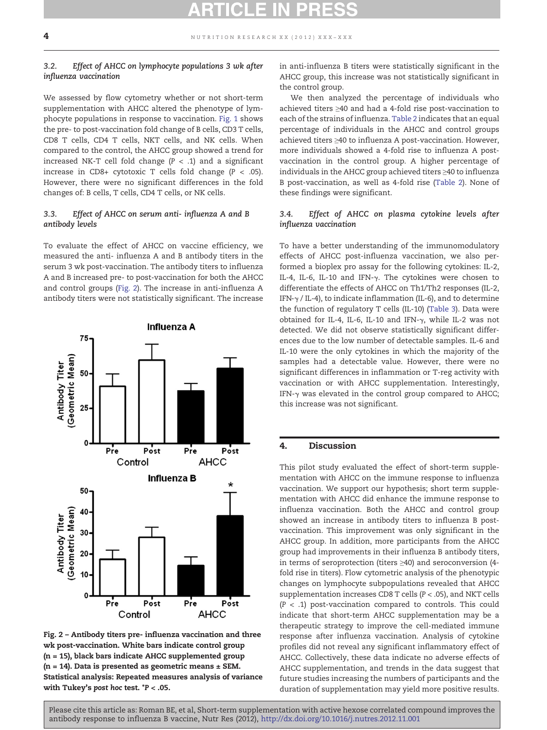# 3.2. Effect of AHCC on lymphocyte populations 3 wk after influenza vaccination

We assessed by flow cytometry whether or not short-term supplementation with AHCC altered the phenotype of lymphocyte populations in response to vaccination. [Fig. 1](#page-2-0) shows the pre- to post-vaccination fold change of B cells, CD3 T cells, CD8 T cells, CD4 T cells, NKT cells, and NK cells. When compared to the control, the AHCC group showed a trend for increased NK-T cell fold change  $(P < .1)$  and a significant increase in CD8+ cytotoxic T cells fold change  $(P < .05)$ . However, there were no significant differences in the fold changes of: B cells, T cells, CD4 T cells, or NK cells.

### 3.3. Effect of AHCC on serum anti- influenza A and B antibody levels

To evaluate the effect of AHCC on vaccine efficiency, we measured the anti- influenza A and B antibody titers in the serum 3 wk post-vaccination. The antibody titers to influenza A and B increased pre- to post-vaccination for both the AHCC and control groups (Fig. 2). The increase in anti-influenza A antibody titers were not statistically significant. The increase



Fig. 2 – Antibody titers pre- influenza vaccination and three wk post-vaccination. White bars indicate control group (n = 15), black bars indicate AHCC supplemented group  $(n = 14)$ . Data is presented as geometric means  $\pm$  SEM. Statistical analysis: Repeated measures analysis of variance with Tukey's post hoc test. \*P < .05.

in anti-influenza B titers were statistically significant in the AHCC group, this increase was not statistically significant in the control group.

We then analyzed the percentage of individuals who achieved titers ≥40 and had a 4-fold rise post-vaccination to each of the strains of influenza. [Table 2](#page-4-0) indicates that an equal percentage of individuals in the AHCC and control groups achieved titers ≥40 to influenza A post-vaccination. However, more individuals showed a 4-fold rise to influenza A postvaccination in the control group. A higher percentage of individuals in the AHCC group achieved titers ≥40 to influenza B post-vaccination, as well as 4-fold rise ([Table 2](#page-4-0)). None of these findings were significant.

### 3.4. Effect of AHCC on plasma cytokine levels after influenza vaccination

To have a better understanding of the immunomodulatory effects of AHCC post-influenza vaccination, we also performed a bioplex pro assay for the following cytokines: IL-2, IL-4, IL-6, IL-10 and IFN-γ. The cytokines were chosen to differentiate the effects of AHCC on Th1/Th2 responses (IL-2, IFN- $\gamma$  / IL-4), to indicate inflammation (IL-6), and to determine the function of regulatory T cells (IL-10) [\(Table 3\)](#page-4-0). Data were obtained for IL-4, IL-6, IL-10 and IFN-γ, while IL-2 was not detected. We did not observe statistically significant differences due to the low number of detectable samples. IL-6 and IL-10 were the only cytokines in which the majority of the samples had a detectable value. However, there were no significant differences in inflammation or T-reg activity with vaccination or with AHCC supplementation. Interestingly, IFN-γ was elevated in the control group compared to AHCC; this increase was not significant.

## 4. Discussion

This pilot study evaluated the effect of short-term supplementation with AHCC on the immune response to influenza vaccination. We support our hypothesis; short term supplementation with AHCC did enhance the immune response to influenza vaccination. Both the AHCC and control group showed an increase in antibody titers to influenza B postvaccination. This improvement was only significant in the AHCC group. In addition, more participants from the AHCC group had improvements in their influenza B antibody titers, in terms of seroprotection (titers ≥40) and seroconversion (4 fold rise in titers). Flow cytometric analysis of the phenotypic changes on lymphocyte subpopulations revealed that AHCC supplementation increases CD8 T cells (P < .05), and NKT cells  $(P < .1)$  post-vaccination compared to controls. This could indicate that short-term AHCC supplementation may be a therapeutic strategy to improve the cell-mediated immune response after influenza vaccination. Analysis of cytokine profiles did not reveal any significant inflammatory effect of AHCC. Collectively, these data indicate no adverse effects of AHCC supplementation, and trends in the data suggest that future studies increasing the numbers of participants and the duration of supplementation may yield more positive results.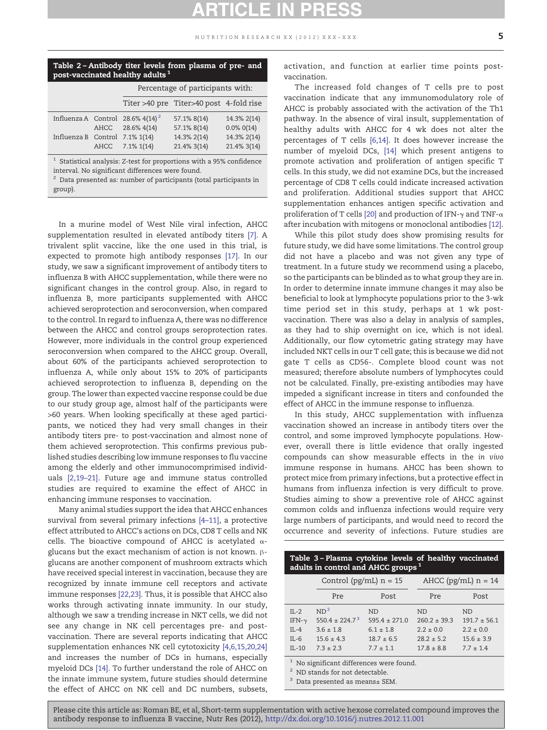<span id="page-4-0"></span>

| Table 2-Antibody titer levels from plasma of pre- and<br>post-vaccinated healthy adults <sup>1</sup> |  |                                                         |                                         |                                |  |  |
|------------------------------------------------------------------------------------------------------|--|---------------------------------------------------------|-----------------------------------------|--------------------------------|--|--|
|                                                                                                      |  | Percentage of participants with:                        |                                         |                                |  |  |
|                                                                                                      |  |                                                         | Titer >40 pre Titer>40 post 4-fold rise |                                |  |  |
|                                                                                                      |  | Influenza A Control 28.6% $4(14)^2$<br>AHCC 28.6% 4(14) | 57.1% 8(14)<br>57.1% 8(14)              | 14.3% 2(14)<br>$0.0\%$ $0(14)$ |  |  |
| Influenza B Control 7.1% 1(14)                                                                       |  | AHCC 7.1% 1(14)                                         | 14.3% 2(14)<br>21.4% 3(14)              | 14.3% 2(14)<br>21.4% 3(14)     |  |  |

 $^1\,$  Statistical analysis: Z-test for proportions with a 95% confidence interval. No significant differences were found.

 $^{\rm 2}$  Data presented as: number of participants (total participants in group).

In a murine model of West Nile viral infection, AHCC supplementation resulted in elevated antibody titers [\[7\]](#page-5-0). A trivalent split vaccine, like the one used in this trial, is expected to promote high antibody responses [\[17\]](#page-5-0). In our study, we saw a significant improvement of antibody titers to influenza B with AHCC supplementation, while there were no significant changes in the control group. Also, in regard to influenza B, more participants supplemented with AHCC achieved seroprotection and seroconversion, when compared to the control. In regard to influenza A, there was no difference between the AHCC and control groups seroprotection rates. However, more individuals in the control group experienced seroconversion when compared to the AHCC group. Overall, about 60% of the participants achieved seroprotection to influenza A, while only about 15% to 20% of participants achieved seroprotection to influenza B, depending on the group. The lower than expected vaccine response could be due to our study group age, almost half of the participants were >60 years. When looking specifically at these aged participants, we noticed they had very small changes in their antibody titers pre- to post-vaccination and almost none of them achieved seroprotection. This confirms previous published studies describing low immune responses to flu vaccine among the elderly and other immunocomprimised individuals [\[2,19](#page-5-0)–21]. Future age and immune status controlled studies are required to examine the effect of AHCC in enhancing immune responses to vaccination.

Many animal studies support the idea that AHCC enhances survival from several primary infections [4–[11\]](#page-5-0), a protective effect attributed to AHCC's actions on DCs, CD8 T cells and NK cells. The bioactive compound of AHCC is acetylated αglucans but the exact mechanism of action is not known. βglucans are another component of mushroom extracts which have received special interest in vaccination, because they are recognized by innate immune cell receptors and activate immune responses [\[22,23\]](#page-5-0). Thus, it is possible that AHCC also works through activating innate immunity. In our study, although we saw a trending increase in NKT cells, we did not see any change in NK cell percentages pre- and postvaccination. There are several reports indicating that AHCC supplementation enhances NK cell cytotoxicity [\[4,6,15,20,24\]](#page-5-0) and increases the number of DCs in humans, especially myeloid DCs [\[14\].](#page-5-0) To further understand the role of AHCC on the innate immune system, future studies should determine the effect of AHCC on NK cell and DC numbers, subsets, activation, and function at earlier time points postvaccination.

The increased fold changes of T cells pre to post vaccination indicate that any immunomodulatory role of AHCC is probably associated with the activation of the Th1 pathway. In the absence of viral insult, supplementation of healthy adults with AHCC for 4 wk does not alter the percentages of T cells [\[6,14\].](#page-5-0) It does however increase the number of myeloid DCs, [\[14\]](#page-5-0) which present antigens to promote activation and proliferation of antigen specific T cells. In this study, we did not examine DCs, but the increased percentage of CD8 T cells could indicate increased activation and proliferation. Additional studies support that AHCC supplementation enhances antigen specific activation and proliferation of T cells [\[20\]](#page-5-0) and production of IFN- $\gamma$  and TNF- $\alpha$ after incubation with mitogens or monoclonal antibodies [\[12\].](#page-5-0)

While this pilot study does show promising results for future study, we did have some limitations. The control group did not have a placebo and was not given any type of treatment. In a future study we recommend using a placebo, so the participants can be blinded as to what group they are in. In order to determine innate immune changes it may also be beneficial to look at lymphocyte populations prior to the 3-wk time period set in this study, perhaps at 1 wk postvaccination. There was also a delay in analysis of samples, as they had to ship overnight on ice, which is not ideal. Additionally, our flow cytometric gating strategy may have included NKT cells in our T cell gate; this is because we did not gate T cells as CD56-. Complete blood count was not measured; therefore absolute numbers of lymphocytes could not be calculated. Finally, pre-existing antibodies may have impeded a significant increase in titers and confounded the effect of AHCC in the immune response to influenza.

In this study, AHCC supplementation with influenza vaccination showed an increase in antibody titers over the control, and some improved lymphocyte populations. However, overall there is little evidence that orally ingested compounds can show measurable effects in the in vivo immune response in humans. AHCC has been shown to protect mice from primary infections, but a protective effect in humans from influenza infection is very difficult to prove. Studies aiming to show a preventive role of AHCC against common colds and influenza infections would require very large numbers of participants, and would need to record the occurrence and severity of infections. Future studies are

| Table 3 - Plasma cytokine levels of healthy vaccinated |
|--------------------------------------------------------|
| adults in control and AHCC groups $^1$                 |

|               | Control ( $pg/mL$ ) $n = 15$ |                   | AHCC ( $pg/mL$ ) $n = 14$ |                |
|---------------|------------------------------|-------------------|---------------------------|----------------|
|               | Pre                          | Post              | Pre                       | Post           |
| $IL-2$        | ND <sup>2</sup>              | <b>ND</b>         | <b>ND</b>                 | ND.            |
| IFN- $\gamma$ | $550.4 \pm 224.7^3$          | $595.4 \pm 271.0$ | $260.2 \pm 39.3$          | $191.7 + 56.1$ |
| $IL-4$        | $3.6 \pm 1.8$                | $6.1 \pm 1.8$     | $2.2 \pm 0.0$             | $2.2 \pm 0.0$  |
| $IL-6$        | $15.6 \pm 4.3$               | $18.7 \pm 6.5$    | $28.2 + 5.2$              | $15.6 \pm 3.9$ |
| $IL-10$       | $73 + 23$                    | $7.7 \pm 1.1$     | $17.8 \pm 8.8$            | $7.7 \pm 1.4$  |

 $^{\rm 1}$  No significant differences were found.

<sup>2</sup> ND stands for not detectable.

<sup>3</sup> Data presented as means± SEM.